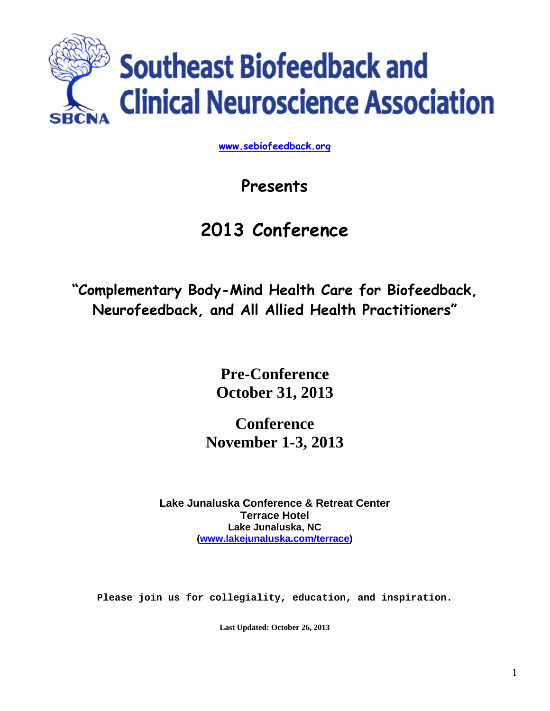

**www.sebiofeedback.org**

# **Presents**

# **2013 Conference**

**"Complementary Body-Mind Health Care for Biofeedback, Neurofeedback, and All Allied Health Practitioners"** 

> **Pre-Conference October 31, 2013**

**Conference November 1-3, 2013** 

**Lake Junaluska Conference & Retreat Center Terrace Hotel Lake Junaluska, NC (www.lakejunaluska.com/terrace)** 

**Please join us for collegiality, education, and inspiration.**

**Last Updated: October 26, 2013**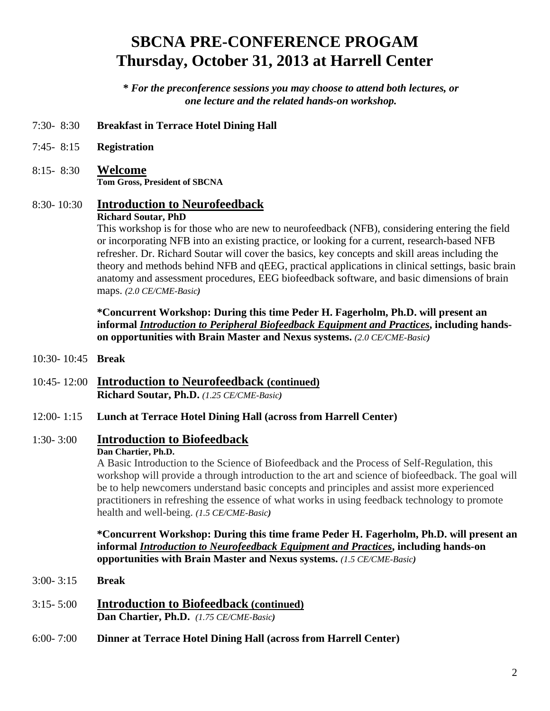# **SBCNA PRE-CONFERENCE PROGAM Thursday, October 31, 2013 at Harrell Center**

**\*** *For the preconference sessions you may choose to attend both lectures, or one lecture and the related hands-on workshop.* 

- 7:30- 8:30 **Breakfast in Terrace Hotel Dining Hall**
- 7:45- 8:15 **Registration**
- 8:15- 8:30 **Welcome Tom Gross, President of SBCNA**

## 8:30- 10:30 **Introduction to Neurofeedback**

#### **Richard Soutar, PhD**

This workshop is for those who are new to neurofeedback (NFB), considering entering the field or incorporating NFB into an existing practice, or looking for a current, research-based NFB refresher. Dr. Richard Soutar will cover the basics, key concepts and skill areas including the theory and methods behind NFB and qEEG, practical applications in clinical settings, basic brain anatomy and assessment procedures, EEG biofeedback software, and basic dimensions of brain maps. *(2.0 CE/CME-Basic)*

**\*Concurrent Workshop: During this time Peder H. Fagerholm, Ph.D. will present an informal** *Introduction to Peripheral Biofeedback Equipment and Practices***, including handson opportunities with Brain Master and Nexus systems.** *(2.0 CE/CME-Basic)*

- 10:30- 10:45 **Break**
- 10:45- 12:00 **Introduction to Neurofeedback (continued) Richard Soutar, Ph.D.** *(1.25 CE/CME-Basic)*

#### 12:00- 1:15 **Lunch at Terrace Hotel Dining Hall (across from Harrell Center)**

## 1:30- 3:00 **Introduction to Biofeedback**

#### **Dan Chartier, Ph.D.**

A Basic Introduction to the Science of Biofeedback and the Process of Self-Regulation, this workshop will provide a through introduction to the art and science of biofeedback. The goal will be to help newcomers understand basic concepts and principles and assist more experienced practitioners in refreshing the essence of what works in using feedback technology to promote health and well-being. *(1.5 CE/CME-Basic)* 

**\*Concurrent Workshop: During this time frame Peder H. Fagerholm, Ph.D. will present an informal** *Introduction to Neurofeedback Equipment and Practices***, including hands-on opportunities with Brain Master and Nexus systems.** *(1.5 CE/CME-Basic)*

- 3:00- 3:15 **Break**
- 3:15- 5:00 **Introduction to Biofeedback (continued) Dan Chartier, Ph.D.** *(1.75 CE/CME-Basic)*
- 6:00- 7:00 **Dinner at Terrace Hotel Dining Hall (across from Harrell Center)**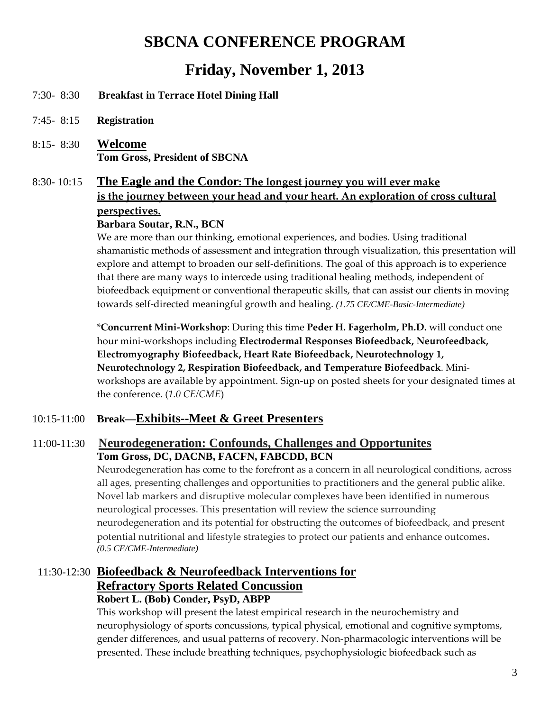## **SBCNA CONFERENCE PROGRAM**

## **Friday, November 1, 2013**

- 7:30- 8:30 **Breakfast in Terrace Hotel Dining Hall**
- 7:45- 8:15 **Registration**
- 8:15- 8:30 **Welcome Tom Gross, President of SBCNA**

## 8:30- 10:15 **The Eagle and the Condor: The longest journey you will ever make is the journey between your head and your heart. An exploration of cross cultural perspectives.**

#### **Barbara Soutar, R.N., BCN**

We are more than our thinking, emotional experiences, and bodies. Using traditional shamanistic methods of assessment and integration through visualization, this presentation will explore and attempt to broaden our self‐definitions. The goal of this approach is to experience that there are many ways to intercede using traditional healing methods, independent of biofeedback equipment or conventional therapeutic skills, that can assist our clients in moving towards self‐directed meaningful growth and healing. *(1.75 CE/CME-Basic-Intermediate)* 

\***Concurrent Mini‐Workshop**: During this time **Peder H. Fagerholm, Ph.D.** will conduct one hour mini‐workshops including **Electrodermal Responses Biofeedback, Neurofeedback, Electromyography Biofeedback, Heart Rate Biofeedback, Neurotechnology 1, Neurotechnology 2, Respiration Biofeedback, and Temperature Biofeedback**. Mini‐ workshops are available by appointment. Sign-up on posted sheets for your designated times at the conference. (*1.0 CE/CME*)

### 10:15-11:00 **Break—Exhibits--Meet & Greet Presenters**

## 11:00-11:30 **Neurodegeneration: Confounds, Challenges and Opportunites Tom Gross, DC, DACNB, FACFN, FABCDD, BCN**

Neurodegeneration has come to the forefront as a concern in all neurological conditions, across all ages, presenting challenges and opportunities to practitioners and the general public alike. Novel lab markers and disruptive molecular complexes have been identified in numerous neurological processes. This presentation will review the science surrounding neurodegeneration and its potential for obstructing the outcomes of biofeedback, and present potential nutritional and lifestyle strategies to protect our patients and enhance outcomes. *(0.5 CE/CME-Intermediate)* 

### 11:30-12:30 **Biofeedback & Neurofeedback Interventions for Refractory Sports Related Concussion Robert L. (Bob) Conder, PsyD, ABPP**

This workshop will present the latest empirical research in the neurochemistry and neurophysiology of sports concussions, typical physical, emotional and cognitive symptoms, gender differences, and usual patterns of recovery. Non‐pharmacologic interventions will be presented. These include breathing techniques, psychophysiologic biofeedback such as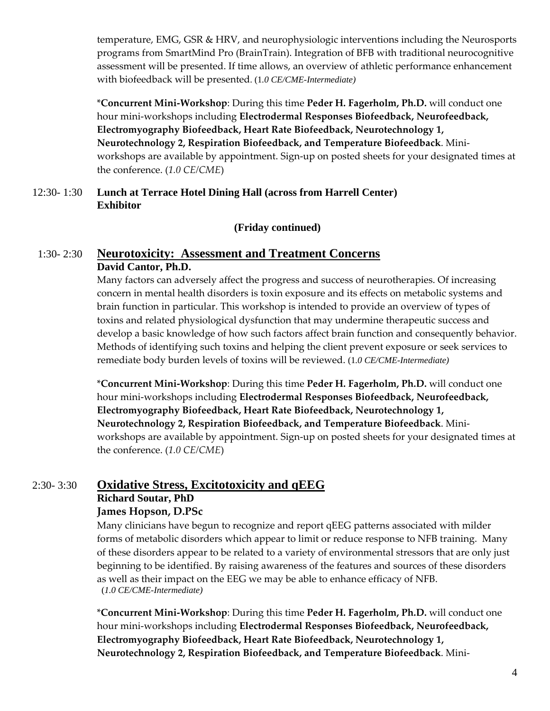temperature, EMG, GSR & HRV, and neurophysiologic interventions including the Neurosports programs from SmartMind Pro (BrainTrain). Integration of BFB with traditional neurocognitive assessment will be presented. If time allows, an overview of athletic performance enhancement with biofeedback will be presented. (1*.0 CE/CME-Intermediate)* 

\***Concurrent Mini‐Workshop**: During this time **Peder H. Fagerholm, Ph.D.** will conduct one hour mini‐workshops including **Electrodermal Responses Biofeedback, Neurofeedback, Electromyography Biofeedback, Heart Rate Biofeedback, Neurotechnology 1, Neurotechnology 2, Respiration Biofeedback, and Temperature Biofeedback**. Mini‐ workshops are available by appointment. Sign-up on posted sheets for your designated times at the conference. (*1.0 CE/CME*)

#### 12:30- 1:30 **Lunch at Terrace Hotel Dining Hall (across from Harrell Center) Exhibitor**

### **(Friday continued)**

### 1:30- 2:30 **Neurotoxicity: Assessment and Treatment Concerns David Cantor, Ph.D.**

 Many factors can adversely affect the progress and success of neurotherapies. Of increasing concern in mental health disorders is toxin exposure and its effects on metabolic systems and brain function in particular. This workshop is intended to provide an overview of types of toxins and related physiological dysfunction that may undermine therapeutic success and develop a basic knowledge of how such factors affect brain function and consequently behavior. Methods of identifying such toxins and helping the client prevent exposure or seek services to remediate body burden levels of toxins will be reviewed. (1*.0 CE/CME-Intermediate)* 

\***Concurrent Mini‐Workshop**: During this time **Peder H. Fagerholm, Ph.D.** will conduct one hour mini‐workshops including **Electrodermal Responses Biofeedback, Neurofeedback, Electromyography Biofeedback, Heart Rate Biofeedback, Neurotechnology 1, Neurotechnology 2, Respiration Biofeedback, and Temperature Biofeedback**. Mini‐ workshops are available by appointment. Sign-up on posted sheets for your designated times at the conference. (*1.0 CE/CME*)

## 2:30- 3:30 **Oxidative Stress, Excitotoxicity and qEEG Richard Soutar, PhD James Hopson, D.PSc**

Many clinicians have begun to recognize and report qEEG patterns associated with milder forms of metabolic disorders which appear to limit or reduce response to NFB training. Many of these disorders appear to be related to a variety of environmental stressors that are only just beginning to be identified. By raising awareness of the features and sources of these disorders as well as their impact on the EEG we may be able to enhance efficacy of NFB. (*1.0 CE/CME-Intermediate)*

\***Concurrent Mini‐Workshop**: During this time **Peder H. Fagerholm, Ph.D.** will conduct one hour mini‐workshops including **Electrodermal Responses Biofeedback, Neurofeedback, Electromyography Biofeedback, Heart Rate Biofeedback, Neurotechnology 1, Neurotechnology 2, Respiration Biofeedback, and Temperature Biofeedback**. Mini‐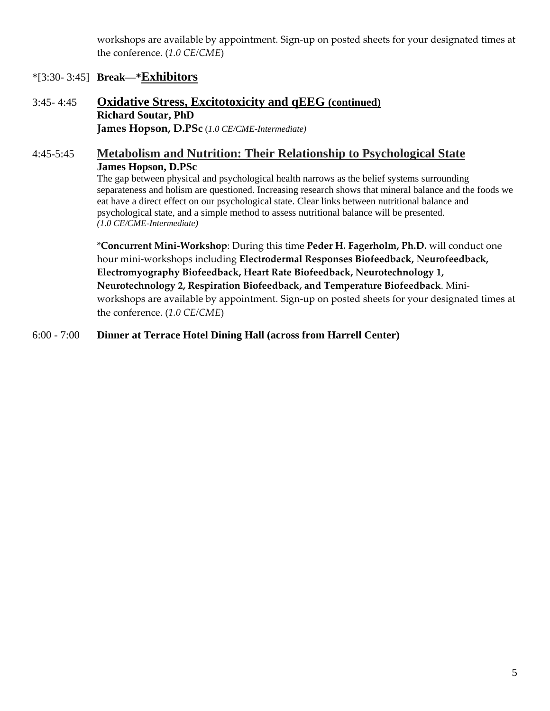workshops are available by appointment. Sign‐up on posted sheets for your designated times at the conference. (*1.0 CE/CME*)

### \*[3:30- 3:45] **Break—\*Exhibitors**

3:45- 4:45 **Oxidative Stress, Excitotoxicity and qEEG (continued) Richard Soutar, PhD James Hopson, D.PSc** (*1.0 CE/CME-Intermediate)*

### 4:45-5:45 **Metabolism and Nutrition: Their Relationship to Psychological State James Hopson, D.PSc**

The gap between physical and psychological health narrows as the belief systems surrounding separateness and holism are questioned. Increasing research shows that mineral balance and the foods we eat have a direct effect on our psychological state. Clear links between nutritional balance and psychological state, and a simple method to assess nutritional balance will be presented. *(1.0 CE/CME-Intermediate)* 

\***Concurrent Mini‐Workshop**: During this time **Peder H. Fagerholm, Ph.D.** will conduct one hour mini‐workshops including **Electrodermal Responses Biofeedback, Neurofeedback, Electromyography Biofeedback, Heart Rate Biofeedback, Neurotechnology 1, Neurotechnology 2, Respiration Biofeedback, and Temperature Biofeedback**. Mini‐ workshops are available by appointment. Sign‐up on posted sheets for your designated times at the conference. (*1.0 CE/CME*)

6:00 - 7:00 **Dinner at Terrace Hotel Dining Hall (across from Harrell Center)**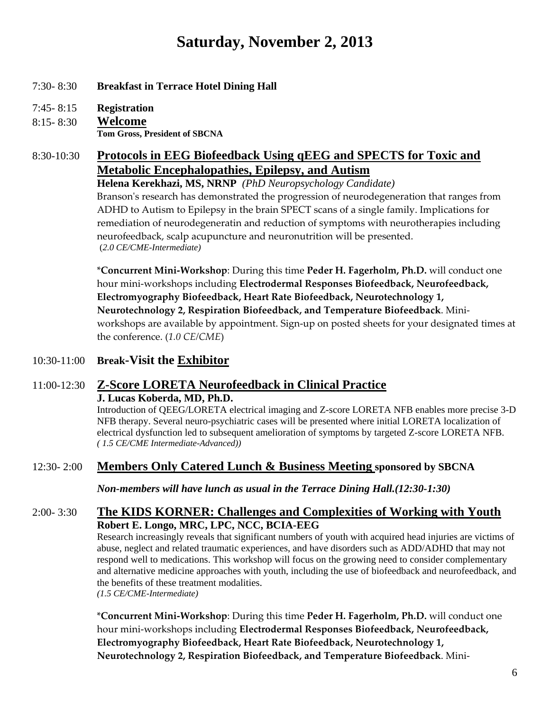# **Saturday, November 2, 2013**

### 7:30- 8:30 **Breakfast in Terrace Hotel Dining Hall**

7:45- 8:15 **Registration** 

### 8:15- 8:30 **Welcome**

**Tom Gross, President of SBCNA**

## 8:30-10:30 **Protocols in EEG Biofeedback Using qEEG and SPECTS for Toxic and Metabolic Encephalopathies, Epilepsy, and Autism**

**Helena Kerekhazi, MS, NRNP** *(PhD Neuropsychology Candidate)*

Branson's research has demonstrated the progression of neurodegeneration that ranges from ADHD to Autism to Epilepsy in the brain SPECT scans of a single family. Implications for remediation of neurodegeneratin and reduction of symptoms with neurotherapies including neurofeedback, scalp acupuncture and neuronutrition will be presented. (*2.0 CE/CME-Intermediate)*

\***Concurrent Mini‐Workshop**: During this time **Peder H. Fagerholm, Ph.D.** will conduct one hour mini‐workshops including **Electrodermal Responses Biofeedback, Neurofeedback, Electromyography Biofeedback, Heart Rate Biofeedback, Neurotechnology 1, Neurotechnology 2, Respiration Biofeedback, and Temperature Biofeedback**. Mini‐ workshops are available by appointment. Sign‐up on posted sheets for your designated times at the conference. (*1.0 CE/CME*)

### 10:30-11:00 **Break-Visit the Exhibitor**

# 11:00-12:30 **Z-Score LORETA Neurofeedback in Clinical Practice**

 **J. Lucas Koberda, MD, Ph.D.** 

 Introduction of QEEG/LORETA electrical imaging and Z-score LORETA NFB enables more precise 3-D NFB therapy. Several neuro-psychiatric cases will be presented where initial LORETA localization of electrical dysfunction led to subsequent amelioration of symptoms by targeted Z-score LORETA NFB. *( 1.5 CE/CME Intermediate-Advanced))* 

## 12:30- 2:00 **Members Only Catered Lunch & Business Meeting sponsored by SBCNA**

*Non-members will have lunch as usual in the Terrace Dining Hall.(12:30-1:30)* 

### 2:00- 3:30 **The KIDS KORNER: Challenges and Complexities of Working with Youth Robert E. Longo, MRC, LPC, NCC, BCIA-EEG**

Research increasingly reveals that significant numbers of youth with acquired head injuries are victims of abuse, neglect and related traumatic experiences, and have disorders such as ADD/ADHD that may not respond well to medications. This workshop will focus on the growing need to consider complementary and alternative medicine approaches with youth, including the use of biofeedback and neurofeedback, and the benefits of these treatment modalities. *(1.5 CE/CME-Intermediate)* 

\***Concurrent Mini‐Workshop**: During this time **Peder H. Fagerholm, Ph.D.** will conduct one hour mini‐workshops including **Electrodermal Responses Biofeedback, Neurofeedback, Electromyography Biofeedback, Heart Rate Biofeedback, Neurotechnology 1, Neurotechnology 2, Respiration Biofeedback, and Temperature Biofeedback**. Mini‐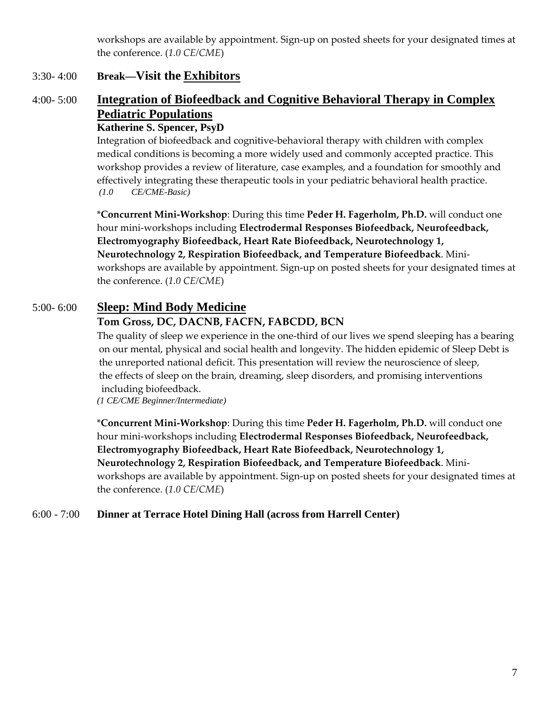workshops are available by appointment. Sign-up on posted sheets for your designated times at the conference. (*1.0 CE/CME*)

### 3:30- 4:00 **Break—Visit the Exhibitors**

## 4:00- 5:00 **Integration of Biofeedback and Cognitive Behavioral Therapy in Complex Pediatric Populations**

### **Katherine S. Spencer, PsyD**

Integration of biofeedback and cognitive-behavioral therapy with children with complex medical conditions is becoming a more widely used and commonly accepted practice. This workshop provides a review of literature, case examples, and a foundation for smoothly and effectively integrating these therapeutic tools in your pediatric behavioral health practice. *(1.0 CE/CME-Basic)* 

\***Concurrent Mini‐Workshop**: During this time **Peder H. Fagerholm, Ph.D.** will conduct one hour mini‐workshops including **Electrodermal Responses Biofeedback, Neurofeedback, Electromyography Biofeedback, Heart Rate Biofeedback, Neurotechnology 1, Neurotechnology 2, Respiration Biofeedback, and Temperature Biofeedback**. Mini‐ workshops are available by appointment. Sign-up on posted sheets for your designated times at the conference. (*1.0 CE/CME*)

## 5:00- 6:00 **Sleep: Mind Body Medicine**

### **Tom Gross, DC, DACNB, FACFN, FABCDD, BCN**

The quality of sleep we experience in the one-third of our lives we spend sleeping has a bearing on our mental, physical and social health and longevity. The hidden epidemic of Sleep Debt is the unreported national deficit. This presentation will review the neuroscience of sleep, the effects of sleep on the brain, dreaming, sleep disorders, and promising interventions including biofeedback.

*(1 CE/CME Beginner/Intermediate)* 

\***Concurrent Mini‐Workshop**: During this time **Peder H. Fagerholm, Ph.D.** will conduct one hour mini‐workshops including **Electrodermal Responses Biofeedback, Neurofeedback, Electromyography Biofeedback, Heart Rate Biofeedback, Neurotechnology 1, Neurotechnology 2, Respiration Biofeedback, and Temperature Biofeedback**. Mini‐ workshops are available by appointment. Sign-up on posted sheets for your designated times at the conference. (*1.0 CE/CME*)

### 6:00 - 7:00 **Dinner at Terrace Hotel Dining Hall (across from Harrell Center)**